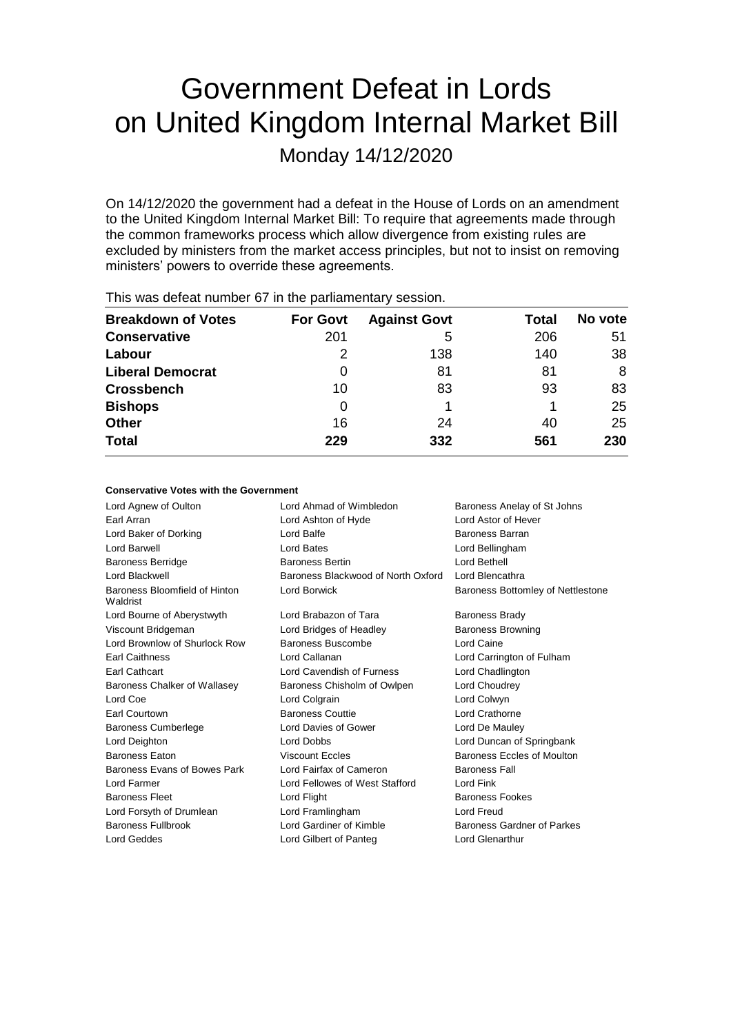# Government Defeat in Lords on United Kingdom Internal Market Bill

Monday 14/12/2020

On 14/12/2020 the government had a defeat in the House of Lords on an amendment to the United Kingdom Internal Market Bill: To require that agreements made through the common frameworks process which allow divergence from existing rules are excluded by ministers from the market access principles, but not to insist on removing ministers' powers to override these agreements.

| <b>Breakdown of Votes</b> | <b>For Govt</b> | <b>Against Govt</b> | Total | No vote |
|---------------------------|-----------------|---------------------|-------|---------|
| <b>Conservative</b>       | 201             | 5                   | 206   | 51      |
| Labour                    |                 | 138                 | 140   | 38      |
| <b>Liberal Democrat</b>   | 0               | 81                  | 81    | 8       |
| <b>Crossbench</b>         | 10              | 83                  | 93    | 83      |
| <b>Bishops</b>            | 0               |                     |       | 25      |
| <b>Other</b>              | 16              | 24                  | 40    | 25      |
| <b>Total</b>              | 229             | 332                 | 561   | 230     |
|                           |                 |                     |       |         |

This was defeat number 67 in the parliamentary session.

# **Conservative Votes with the Government**

Lord Agnew of Oulton **Lord Ahmad of Wimbledon** Baroness Anelay of St Johns Earl Arran Lord Ashton of Hyde Lord Astor of Hever Lord Baker of Dorking **Lord Balfe Lord Balfe** Baroness Barran Lord Barwell Lord Bates Lord Bellingham Baroness Berridge Baroness Bertin Lord Bethell Lord Blackwell Baroness Blackwood of North Oxford Lord Blencathra Baroness Bloomfield of Hinton Waldrist Lord Borwick **Baroness Bottomley of Nettlestone** Lord Bourne of Aberystwyth Lord Brabazon of Tara Baroness Brady Viscount Bridgeman Lord Bridges of Headley Baroness Browning Lord Brownlow of Shurlock Row Baroness Buscombe Lord Caine Earl Caithness Lord Callanan Lord Carrington of Fulham Earl Cathcart Lord Cavendish of Furness Lord Chadlington Baroness Chalker of Wallasey Baroness Chisholm of Owlpen Lord Choudrey Lord Coe **Lord Colgrain** Lord Colgrain **Lord Colwyn** Earl Courtown Baroness Couttie Lord Crathorne Baroness Cumberlege Lord Davies of Gower Lord De Mauley Lord Deighton Lord Dobbs Lord Duncan of Springbank Baroness Eaton **Baroness Eccles Baroness Eccles Baroness Eccles of Moulton** Baroness Evans of Bowes Park Lord Fairfax of Cameron Baroness Fall Lord Farmer **Lord Fellowes of West Stafford** Lord Fink Baroness Fleet **Lord Flight** Lord Flight Baroness Fookes Lord Forsyth of Drumlean Lord Framlingham Lord Freud Baroness Fullbrook Lord Gardiner of Kimble Baroness Gardner of Parkes Lord Geddes Lord Gilbert of Panteg Lord Glenarthur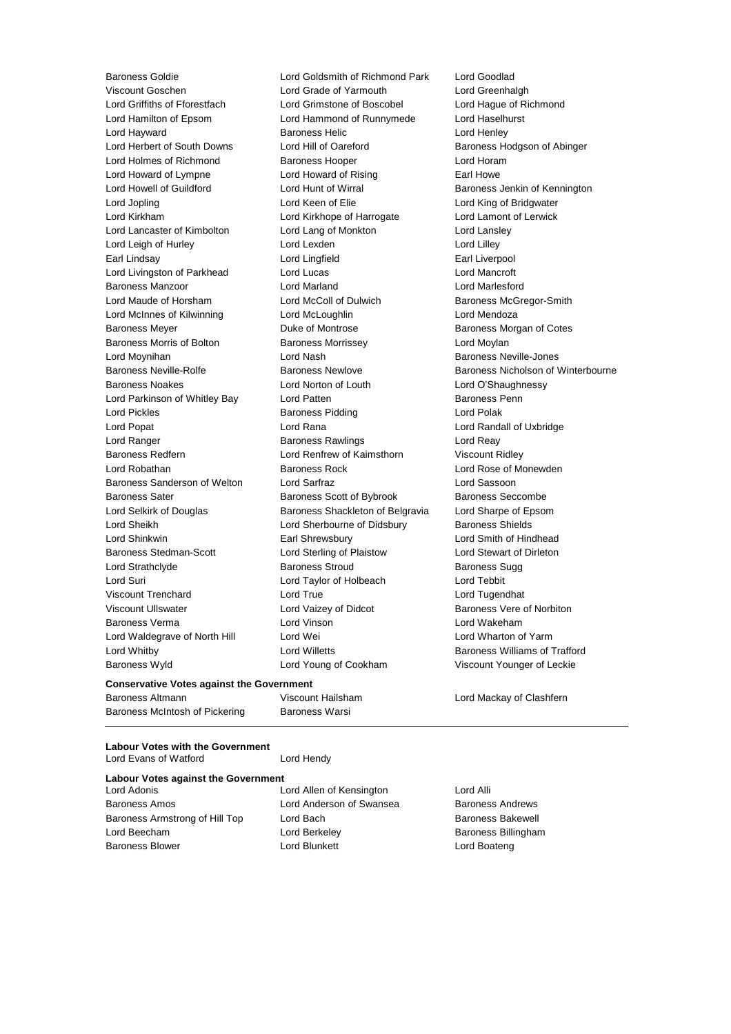**Conservative Votes against the Government**

Baroness Goldie Lord Goldsmith of Richmond Park Lord Goodlad Viscount Goschen Lord Grade of Yarmouth Lord Greenhalgh Lord Griffiths of Fforestfach Lord Grimstone of Boscobel Lord Hague of Richmond Lord Hamilton of Epsom Lord Hammond of Runnymede Lord Haselhurst Lord Hayward **Baroness Helic** Lord Henley Lord Herbert of South Downs Lord Hill of Oareford Baroness Hodgson of Abinger Lord Holmes of Richmond Baroness Hooper Lord Horam Lord Howard of Lympne Lord Howard of Rising Earl Howe Lord Howell of Guildford **Lord Hunt of Wirral** Baroness Jenkin of Kennington Lord Jopling Lord Keen of Elie Lord King of Bridgwater Lord Kirkham Lord Kirkhope of Harrogate Lord Lamont of Lerwick Lord Lancaster of Kimbolton Lord Lang of Monkton Lord Lansley Lord Leigh of Hurley Lord Lexden Lord Lilley Earl Lindsay Lord Lingfield Earl Liverpool Lord Livingston of Parkhead Lord Lucas Lord Mancroft Baroness Manzoor Lord Marland Lord Marlesford Lord Maude of Horsham **Lord McColl of Dulwich Baroness McGregor-Smith** Lord McInnes of Kilwinning Lord McLoughlin Lord Mendoza Baroness Meyer Duke of Montrose Baroness Morgan of Cotes Baroness Morris of Bolton Baroness Morrissey Carolic Lord Moylan Lord Moynihan Lord Nash Baroness Neville-Jones Baroness Neville-Rolfe Baroness Newlove Baroness Nicholson of Winterbourne Baroness Noakes Lord Norton of Louth Lord O'Shaughnessy Lord Parkinson of Whitley Bay Lord Patten **Baroness Penn** Lord Pickles **Baroness Pidding Lord Polak** Lord Polak Lord Popat Lord Rana Lord Randall of Uxbridge Lord Ranger **Baroness Rawlings** Lord Reay Readers Baroness Redfern **Lord Renfrew of Kaimsthorn** Viscount Ridley Lord Robathan **Baroness Rock** Lord Rose of Monewden Baroness Sanderson of Welton Lord Sarfraz Lord Sassoon Baroness Sater **Baroness Scott of Bybrook** Baroness Seccombe Lord Selkirk of Douglas Baroness Shackleton of Belgravia Lord Sharpe of Epsom Lord Sheikh Lord Sherbourne of Didsbury Baroness Shields Lord Shinkwin Earl Shrewsbury Lord Smith of Hindhead Baroness Stedman-Scott Lord Sterling of Plaistow Lord Stewart of Dirleton Lord Strathclyde Baroness Stroud Baroness Sugg Lord Suri Lord Taylor of Holbeach Lord Tebbit Viscount Trenchard Lord True Lord Tugendhat Viscount Ullswater **Lord Vaizey of Didcot** Baroness Vere of Norbiton Baroness Verma Lord Vinson Lord Wakeham Lord Waldegrave of North Hill Lord Wei Lord Wei Lord Wharton of Yarm Lord Whitby **Lord Willetts Baroness Williams of Trafford Lord Willetts Baroness Williams of Trafford** Baroness Wyld Lord Young of Cookham Viscount Younger of Leckie

Baroness Altmann Viscount Hailsham Lord Mackay of Clashfern

Baroness McIntosh of Pickering Baroness Warsi

**Labour Votes with the Government**

Lord Evans of Watford Lord Hendy

# **Labour Votes against the Government**<br>Lord Adonis

Baroness Amos Lord Anderson of Swansea Baroness Andrews Baroness Armstrong of Hill Top Lord Bach Baroness Bakewell Lord Beecham **Lord Berkeley Baroness Billingham** Baroness Blower **Lord Blunkett** Lord Boateng Lord Boateng

Lord Allen of Kensington Lord Alli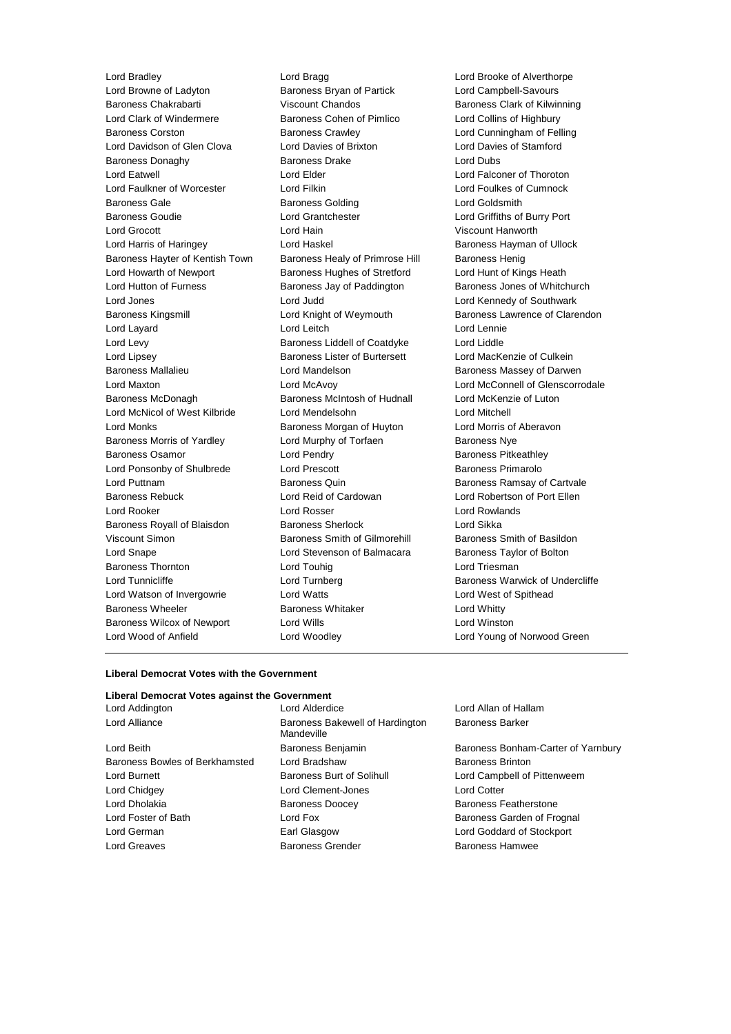Lord Browne of Ladyton Baroness Bryan of Partick Lord Campbell-Savours Baroness Chakrabarti Viscount Chandos Baroness Clark of Kilwinning Lord Clark of Windermere Baroness Cohen of Pimlico Lord Collins of Highbury Baroness Corston Baroness Crawley Lord Cunningham of Felling Lord Davidson of Glen Clova Lord Davies of Brixton Lord Davies of Stamford Baroness Donaghy Baroness Drake Lord Dubs Lord Eatwell Lord Elder Lord Falconer of Thoroton Lord Faulkner of Worcester Lord Filkin Lord Foulkes of Cumnock Baroness Gale **Baroness Golding** Lord Goldsmith Baroness Goudie Lord Grantchester Lord Griffiths of Burry Port Lord Grocott Lord Hain Viscount Hanworth Lord Harris of Haringey **Lord Haskel Communist Communist Communist Communist Communist Communist Communist Communist Communist Communist Communist Communist Communist Communist Communist Communist Communist Communist Commu** Baroness Hayter of Kentish Town Baroness Healy of Primrose Hill Baroness Henig Lord Howarth of Newport Baroness Hughes of Stretford Lord Hunt of Kings Heath Lord Hutton of Furness Baroness Jay of Paddington Baroness Jones of Whitchurch Lord Jones Lord Judd Lord Kennedy of Southwark Baroness Kingsmill Lord Knight of Weymouth Baroness Lawrence of Clarendon Lord Layard **Lord Leitch** Lord Leitch **Lord Lennie** Lord Levy Baroness Liddell of Coatdyke Lord Liddle Lord Lipsey **Baroness Lister of Burtersett** Lord MacKenzie of Culkein Baroness Mallalieu **Baroness Mandelson** Lord Mandelson **Baroness Massey of Darwen** Lord Maxton Lord McAvoy Lord McConnell of Glenscorrodale Baroness McDonagh Baroness McIntosh of Hudnall Lord McKenzie of Luton Lord McNicol of West Kilbride Lord Mendelsohn Lord Mitchell Lord Monks **Baroness Morgan of Huyton** Lord Morris of Aberavon Baroness Morris of Yardley **Lord Murphy of Torfaen** Baroness Nye Baroness Osamor **Example 2** Lord Pendry **Baroness Pricess Pitkeathley** Lord Ponsonby of Shulbrede Lord Prescott Baroness Primarolo Lord Puttnam Baroness Quin Baroness Ramsay of Cartvale Baroness Rebuck Lord Reid of Cardowan Lord Robertson of Port Ellen Lord Rooker Lord Rosser Lord Rowlands Baroness Royall of Blaisdon Baroness Sherlock Lord Sikka Viscount Simon **Baroness Smith of Gilmorehill** Baroness Smith of Basildon Lord Snape Lord Stevenson of Balmacara Baroness Taylor of Bolton Baroness Thornton **Lord Touhig** Lord Touhig Lord Triesman Lord Tunnicliffe **Lord Turnberg Lord Baroness Warwick of Undercliffe** Lord Watson of Invergowrie Lord Watts Lord West of Spithead Baroness Wheeler **Baroness Whitaker** Lord Whitty Baroness Wilcox of Newport Lord Wills Lord Winston Lord Wood of Anfield Lord Woodley Lord Young of Norwood Green

Lord Bradley Lord Bragg Lord Brooke of Alverthorpe

### **Liberal Democrat Votes with the Government**

# **Liberal Democrat Votes against the Government**

Lord Beith Baroness Benjamin Baroness Bonham-Carter of Yarnbury Baroness Bowles of Berkhamsted Lord Bradshaw Baroness Brinton Lord Burnett **Baroness Burt of Solihull** Lord Campbell of Pittenweem Lord Chidgey Lord Clement-Jones Lord Cotter Lord Dholakia Baroness Doocey Baroness Featherstone Lord Foster of Bath **Lord Fox** Lord Fox Baroness Garden of Frognal Lord German Earl Glasgow Lord Goddard of Stockport Lord Greaves **Baroness Grender** Baroness Hamwee Baroness Hamwee

Lord Addington Lord Alderdice Lord Allan of Hallam Lord Alliance **Baroness Bakewell of Hardington** Mandeville

Baroness Barker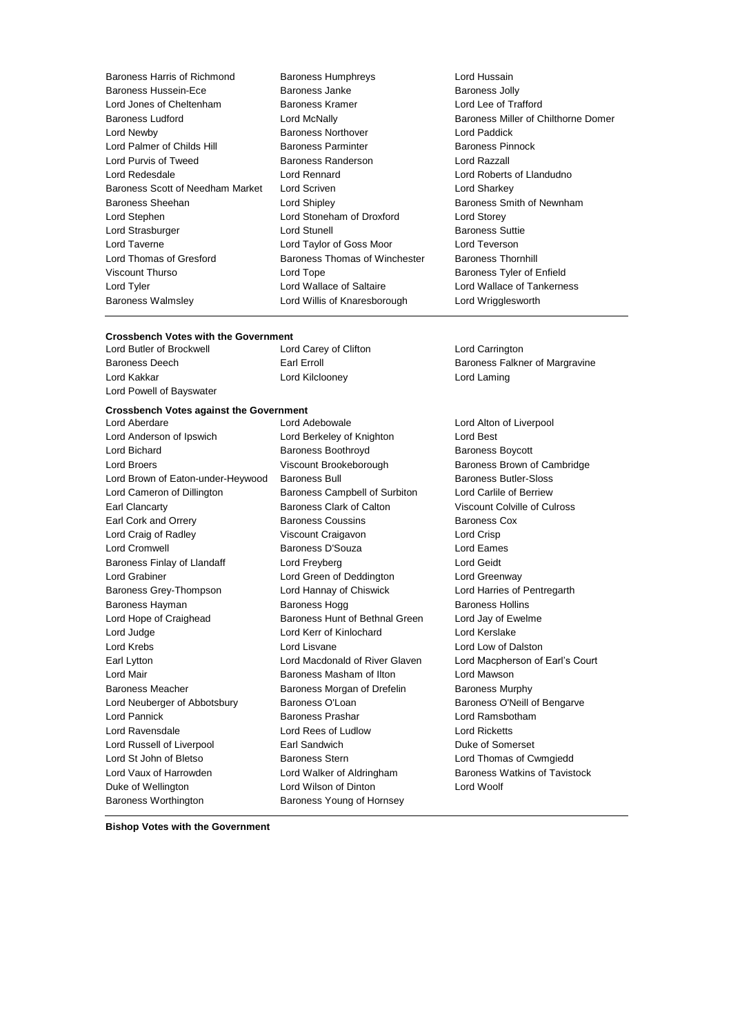Baroness Harris of Richmond Baroness Humphreys **Exercise Serverse Exercise Additional**<br>Baroness Hussein-Ece **Baroness Janke** Baroness Jolly Baroness Hussein-Ece Baroness Janke Lord Jones of Cheltenham Baroness Kramer Lord Lee of Trafford Lord Newby Baroness Northover Lord Paddick Lord Palmer of Childs Hill **Baroness Parminter** Baroness Pinnock Lord Purvis of Tweed Baroness Randerson Lord Razzall Lord Redesdale Lord Rennard Lord Roberts of Llandudno Baroness Scott of Needham Market Lord Scriven Lord Charless Scott of Needham Market Lord Scriven Baroness Sheehan **Lord Shipley Baroness Smith of Newnham** Lord Stephen Lord Stoneham of Droxford Lord Storey Lord Strasburger **Lord Stunell** Baroness Suttie Lord Taverne Lord Taylor of Goss Moor Lord Teverson Lord Thomas of Gresford Baroness Thomas of Winchester Baroness Thornhill Viscount Thurso **Communist Constructs** Lord Tope **Baroness Tyler of Enfield** Lord Tyler Lord Wallace of Saltaire Lord Wallace of Tankerness Baroness Walmsley Lord Willis of Knaresborough Lord Wrigglesworth

# Baroness Ludford Lord McNally Baroness Miller of Chilthorne Domer

# **Crossbench Votes with the Government**<br>
Lord Butler of Brockwell
Lord Carey of Clifton

Lord Butler of Brockwell Lord Carey of Clifton Lord Carrington Lord Kakkar Lord Kilclooney Lord Laming Lord Powell of Bayswater

## **Crossbench Votes against the Government**

Lord Anderson of Ipswich Lord Berkeley of Knighton Lord Best Lord Bichard **Baroness Boothroyd** Baroness Boothroyd Baroness Boycott Lord Broers **Example 2** Viscount Brookeborough Baroness Brown of Cambridge Lord Brown of Eaton-under-Heywood Baroness Bull Baroness Butler-Sloss Lord Cameron of Dillington Baroness Campbell of Surbiton Lord Carlile of Berriew Earl Clancarty Baroness Clark of Calton Viscount Colville of Culross Earl Cork and Orrery **Baroness Coussins** Baroness Cox Lord Craig of Radley Viscount Craigavon Lord Crisp Lord Cromwell Baroness D'Souza Lord Eames Baroness Finlay of Llandaff **Lord Freyberg Lord Geidt** Lord Geidt Lord Grabiner Lord Green of Deddington Lord Greenway Baroness Grey-Thompson Lord Hannay of Chiswick Lord Harries of Pentregarth Baroness Hayman **Baroness Hogg** Baroness Hollins Lord Hope of Craighead Baroness Hunt of Bethnal Green Lord Jay of Ewelme Lord Judge Lord Kerr of Kinlochard Lord Kerslake Lord Krebs Lord Lisvane Lord Low of Dalston Earl Lytton Lord Macdonald of River Glaven Lord Macpherson of Earl's Court Lord Mair Baroness Masham of Ilton Lord Mawson Baroness Meacher **Baroness Morgan of Drefelin** Baroness Murphy Lord Neuberger of Abbotsbury Baroness O'Loan Baroness O'Neill of Bengarve Lord Pannick Baroness Prashar Lord Ramsbotham Lord Ravensdale Lord Rees of Ludlow Lord Ricketts Lord Russell of Liverpool **Earl Sandwich Communist Communist Communist Communist Communist Communist Communist Communist Communist Communist Communist Communist Communist Communist Communist Communist Communist Communist C** Lord St John of Bletso Baroness Stern Lord Thomas of Cwmgiedd Lord Vaux of Harrowden **Lord Walker of Aldringham** Baroness Watkins of Tavistock Duke of Wellington Lord Wilson of Dinton Lord Woolf Baroness Worthington Baroness Young of Hornsey

Lord Aberdare Lord Adebowale Lord Alton of Liverpool

Baroness Deech **Earl Erroll** Earl Erroll **Example 20** Baroness Falkner of Margravine

**Bishop Votes with the Government**